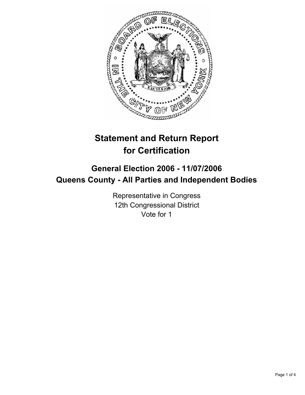

# **Statement and Return Report for Certification**

## **General Election 2006 - 11/07/2006 Queens County - All Parties and Independent Bodies**

Representative in Congress 12th Congressional District Vote for 1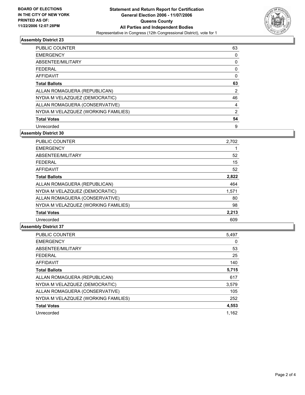

### **Assembly District 23**

| <b>PUBLIC COUNTER</b>                | 63 |
|--------------------------------------|----|
| <b>EMERGENCY</b>                     |    |
| ABSENTEE/MILITARY                    |    |
| <b>FEDERAL</b>                       |    |
| AFFIDAVIT                            |    |
| <b>Total Ballots</b>                 | 63 |
| ALLAN ROMAGUERA (REPUBLICAN)         | 2  |
| NYDIA M VELAZQUEZ (DEMOCRATIC)       | 46 |
| ALLAN ROMAGUERA (CONSERVATIVE)       |    |
| NYDIA M VELAZQUEZ (WORKING FAMILIES) |    |
| <b>Total Votes</b>                   | 54 |
| Unrecorded                           | 9  |

**Assembly District 30**

| PUBLIC COUNTER                       | 2,702 |
|--------------------------------------|-------|
| <b>EMERGENCY</b>                     |       |
| ABSENTEE/MILITARY                    | 52    |
| <b>FEDERAL</b>                       | 15    |
| AFFIDAVIT                            | 52    |
| <b>Total Ballots</b>                 | 2,822 |
| ALLAN ROMAGUERA (REPUBLICAN)         | 464   |
| NYDIA M VELAZQUEZ (DEMOCRATIC)       | 1,571 |
| ALLAN ROMAGUERA (CONSERVATIVE)       | 80    |
| NYDIA M VELAZQUEZ (WORKING FAMILIES) | 98    |
| <b>Total Votes</b>                   | 2,213 |
| Unrecorded                           | 609   |

#### **Assembly District 37**

| <b>PUBLIC COUNTER</b>                | 5,497 |
|--------------------------------------|-------|
| <b>EMERGENCY</b>                     | 0     |
| ABSENTEE/MILITARY                    | 53    |
| <b>FEDERAL</b>                       | 25    |
| <b>AFFIDAVIT</b>                     | 140   |
| <b>Total Ballots</b>                 | 5,715 |
| ALLAN ROMAGUERA (REPUBLICAN)         | 617   |
| NYDIA M VELAZQUEZ (DEMOCRATIC)       | 3,579 |
| ALLAN ROMAGUERA (CONSERVATIVE)       | 105   |
| NYDIA M VELAZQUEZ (WORKING FAMILIES) | 252   |
| <b>Total Votes</b>                   | 4,553 |
| Unrecorded                           | 1.162 |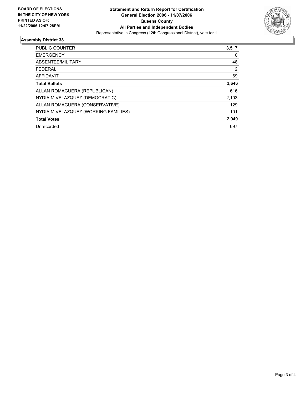

### **Assembly District 38**

| PUBLIC COUNTER                       | 3,517 |
|--------------------------------------|-------|
| <b>EMERGENCY</b>                     | 0     |
| ABSENTEE/MILITARY                    | 48    |
| <b>FEDERAL</b>                       | 12    |
| AFFIDAVIT                            | 69    |
| <b>Total Ballots</b>                 | 3,646 |
| ALLAN ROMAGUERA (REPUBLICAN)         | 616   |
| NYDIA M VELAZQUEZ (DEMOCRATIC)       | 2,103 |
| ALLAN ROMAGUERA (CONSERVATIVE)       | 129   |
| NYDIA M VELAZQUEZ (WORKING FAMILIES) | 101   |
| <b>Total Votes</b>                   | 2,949 |
| Unrecorded                           | 697   |